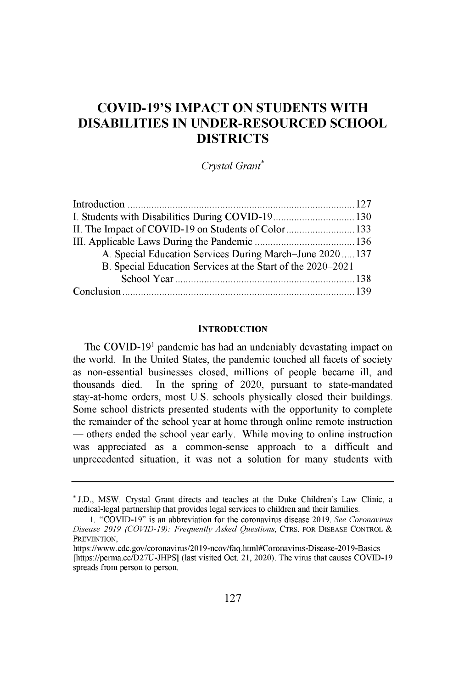# **COVID-19'S IMPACT ON STUDENTS WITH DISABILITIES IN UNDER-RESOURCED SCHOOL DISTRICTS**

*Crystal Grant\**

| II. The Impact of COVID-19 on Students of Color133          |  |
|-------------------------------------------------------------|--|
|                                                             |  |
| A. Special Education Services During March–June 2020137     |  |
| B. Special Education Services at the Start of the 2020–2021 |  |
|                                                             |  |
|                                                             |  |

#### **INTRODUCTION**

The COVID-191 pandemic has had an undeniably devastating impact on the world. In the United States, the pandemic touched all facets of society **as** non-essential **businesses** closed, millions of people became ill, and thousands died. In the spring of 2020, pursuant to state-mandated stay-at-home orders, most U.S. schools physically closed their buildings. Some school districts presented students with the opportunity to complete the remainder of the school year at home through online remote instruction — others ended the school year early. While moving to online instruction was appreciated as a common-sense approach to a difficult and unprecedented situation, it was not a solution for many students with

<sup>\*</sup> J.D., MSW. Crystal Grant directs and teaches at the Duke Children's Law Clinic, a medical-legal partnership that provides legal services to children and their families.

<sup>1. &</sup>quot;COVID-19" is an abbreviation for the coronavirus disease 2019. *See Coronavirus* Disease *2019 (COVID-19): Frequently Asked Questions,* CTRS. FOR DISEASE CONTROL PREVENTION,

https://www.cdc.gov/coronavirus/2019-ncov/faq.html#Coronavirus-Disease-2019-Basics [https://perma.cc/D27U-JHPS] (last visited Oct. 21, 2020). The virus that causes COVID-19 spreads from person to **person.**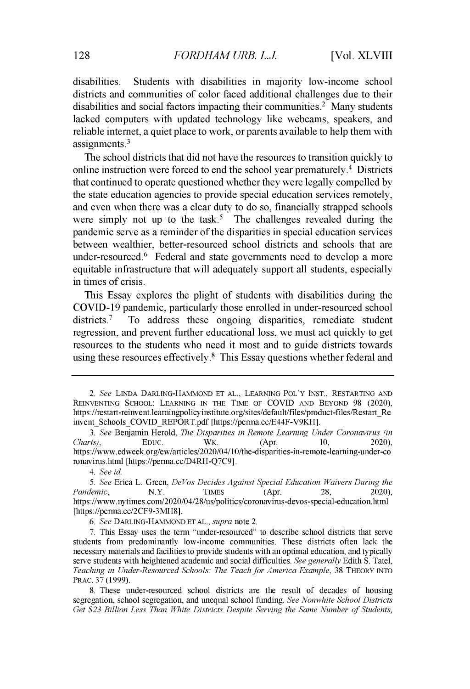disabilities. Students with disabilities in majority low-income school districts and communities of color faced additional challenges due to their disabilities and social factors impacting their communities.<sup>2</sup> Many students lacked computers with updated technology like webcams, speakers, and reliable internet, a quiet place to work, or parents available to help them with assignments. <sup>3</sup>

The school districts that did not have the resources to transition quickly to online instruction were forced to end the school year prematurely.<sup> $4$ </sup> Districts that continued to operate questioned whether they were legally compelled by the state education agencies to provide special education services remotely, and even when there was a clear duty to do so, financially strapped schools were simply not up to the task.<sup>5</sup> The challenges revealed during the pandemic serve as a reminder of the disparities in special education services between wealthier, better-resourced school districts and schools that are under-resourced.<sup>6</sup> Federal and state governments need to develop a more equitable infrastructure that will adequately support all students, especially in times of crisis.

This Essay explores the plight of students with disabilities during the COVID-19 pandemic, particularly those enrolled in under-resourced school  $distriets.<sup>7</sup>$  To address these ongoing disparities, remediate student regression, and prevent further educational loss, we must act quickly to get resources to the students who need it most and to guide districts towards using these resources effectively.<sup>8</sup> This Essay questions whether federal and

*<sup>2.</sup> See* **LINDA DARLING-HAMMOND ET** AL., LEARNING POL'Y INST., RESTARTING AND **REINVENTING SCHOOL: LEARNING IN THE TIME OF** COVID **AND BEYOND** 98 (2020), https ://restart-reinvent.learningpolicyinstitute.org/sites/default/files/product-files/Restart\_Re invent Schools COVID\_REPORT.pdf [https://perma.cc/E44F-V9KH].

*<sup>3.</sup> See* Benjamin Herold, The Disparities *in Remote Learning Under Coronavirus (in Charts),* **EDUC.** WK. (Apr. 10, 2020), https://www.edweek.org/ew/articles/2020/04/10/the-disparities-in-remote-learning-underronavirus.html [https://perma.cc/D4RH-Q7C9].

*<sup>4.</sup> See id.*

*<sup>5.</sup> See* Erica L. Green, *DeVos Decides Against Special Education Waivers During the Pandemic*, **N.Y. TIMES** (Apr. 28, 2020), https://www.nytimes.com/2020/04/28/us/politics/coronavirus-devos-special-education.htm [https://perma.cc/2CF9-3MH8].

*<sup>6.</sup> See* **DARLING-HAMMOND ET AL.,** *supra* note 2.

<sup>7.</sup> This Essay uses the term "under-resourced" to describe school districts that serve students from predominantly low-income communities. These districts often lack the necessary materials and facilities to provide students with an optimal education, and typically serve students with heightened academic and social difficulties. *See generally* Edith S. Tatel, *Teaching in Under-Resourced Schools: The Teach for America Example,* 38 **THEORY INTO PRAC.** 37 (1999).

<sup>8.</sup> These under-resourced school districts are the result of decades of housing segregation, school segregation, and unequal school funding. *See Nonwhite School Districts Get \$23 Billion Less Than White Districts Despite Serving the Same Number of Students,*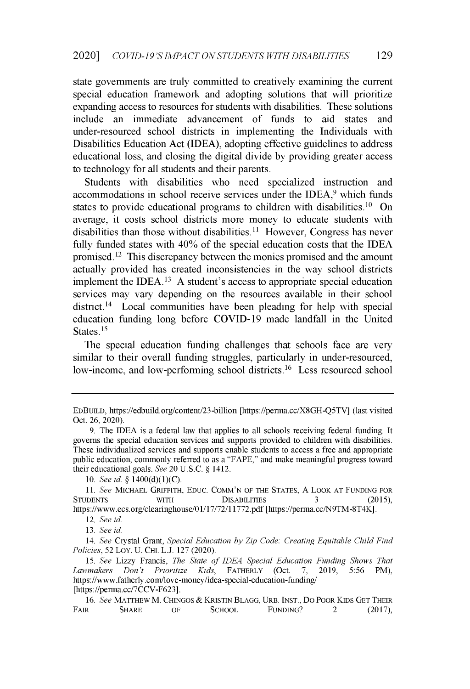state governments are truly committed to creatively examining the current special education framework and adopting solutions that will prioritize expanding access to resources for students with disabilities. These solutions include an immediate advancement of funds to aid states and under-resourced school districts in implementing the Individuals with Disabilities Education Act (IDEA), adopting effective guidelines to address educational loss, and closing the digital divide by providing greater access to technology for all students and their parents.

Students with disabilities who need specialized instruction and accommodations in school receive services under the IDEA,<sup>9</sup> which funds states to provide educational programs to children with disabilities.<sup>10</sup> On average, it costs school districts more money to educate students with disabilities than those without disabilities.<sup>11</sup> However, Congress has never fully funded states with **40%** of the special education costs that the IDEA promised.<sup>12</sup> This discrepancy between the monies promised and the amount actually provided has created inconsistencies in the way school districts implement the **IDEA. <sup>13</sup>**A student's access to appropriate special education services may vary depending on the resources available in their school district.<sup>14</sup> Local communities have been pleading for help with special education funding long before COVID-19 made landfall in the United States. **<sup>15</sup>**

The special education funding challenges that schools face are very similar to their overall funding struggles, particularly in under-resourced, low-income, and low-performing school districts.<sup>16</sup> Less resourced school

**EDBUILD,** https://edbuild.org/content/23-billion [https://perma.cc/X8GH-Q5TV] (last visited Oct. 26, 2020).

<sup>9.</sup> The **IDEA** is a federal law that applies to all schools receiving federal funding. It governs the special education services and supports provided to children with disabilities. These individualized services and supports enable students to access a free and appropriate public education, commonly referred to as a "FAPE," and make meaningful progress toward their educational goals. *See* 20 U.S.C. § 1412.

<sup>10.</sup> *See id.* § 1400(d)(1)(C).

<sup>11.</sup> *See* **MICHAEL GRIFFITH, EDUC.** COMM'N **OF THE STATES,** A **LOOK AT FUNDING FOR STUDENTS WITH DISABILITIES** 3 (2015), https://www.ecs.org/clearinghouse/0 1/17/72/11772.pdf [https://perma.cc/N9TM-8T4K].

*<sup>12.</sup> See id.*

<sup>13.</sup> *See id.*

*<sup>14.</sup> See* Crystal Grant, *Special Education by Zip Code: Creating Equitable Child Find Policies,* 52 LOY. U. **CHI.** L.J. 127 (2020).

<sup>15.</sup> *See* Lizzy Francis, *The State of IDEA Special Education Funding Shows That Lawmakers Don't Prioritize Kids,* **FATHERLY** (Oct. 7, 2019, 5:56 PM), https://www.fatherly.com/love-money/idea-special-education-funding/ [https://perma.cc/7CCV-F623].

<sup>16.</sup> *See* **MATTHEW** M. **CHINGOS** *&* **KRISTIN BLAGG, URB. INST.,** DO **POOR KIDS GET THEIR FAIR SHARE OF SCHOOL FUNDING?** 2 (2017),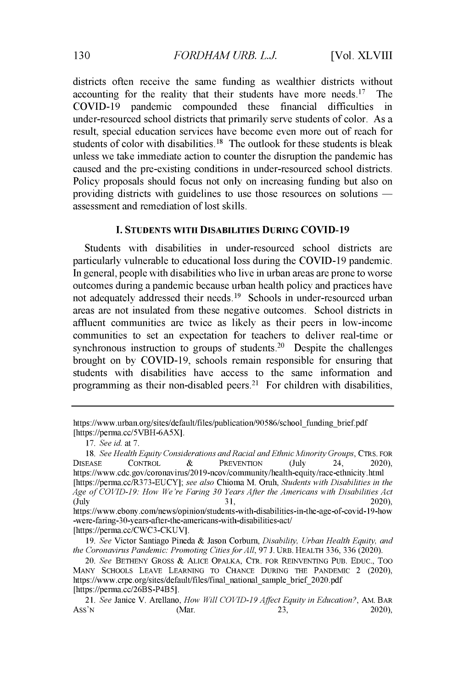districts often receive the same funding as wealthier districts without accounting for the reality that their students have more needs.<sup>17</sup> The COVID-19 pandemic compounded these financial difficulties in under-resourced school districts that primarily serve students of color. As a result, special education services have become even more out of reach for students of color with disabilities.<sup>18</sup> The outlook for these students is bleak unless we take immediate action to counter the disruption the pandemic has caused and the pre-existing conditions in under-resourced school districts. Policy proposals should focus not only on increasing funding but also on providing districts with guidelines to use those resources on solutions assessment and remediation of lost skills.

### **I. STUDENTS WITH DISABILITIES DURING COVID-19**

Students with disabilities in under-resourced school districts are particularly vulnerable to educational loss during the COVID-19 pandemic. In general, people with disabilities who live in urban areas are prone to worse outcomes during a pandemic because urban health policy and practices have not adequately addressed their needs.<sup>19</sup> Schools in under-resourced urban areas are not insulated from these negative outcomes. School districts in affluent communities are twice as likely as their peers in low-income communities to set an expectation for teachers to deliver real-time or synchronous instruction to groups of students.<sup>20</sup> Despite the challenges brought on by COVID-19, schools remain responsible for ensuring that students with disabilities have access to the same information and programming as their non-disabled peers.<sup>21</sup> For children with disabilities,

https://www.urban.org/sites/default/files/publication/90586/school funding brief.pdf [https://perma.cc/5VBH-6A5X].

*<sup>17.</sup> See* id. at 7.

<sup>18.</sup> *See Health Equity Considerations and Racial and Ethnic Minority Groups,* CTRS. FOR DISEASE CONTROL **&** PREVENTION (July 24, 2020), https://www.cdc.gov/coronavirus/2019-ncov/community/health-equity/race-ethnicity.htm [https://perma.cc/R373-EUCY]; *see also* Chioma M. Onih, *Students with Disabilities in the Age of COVID-19: How We're Faring 30 Years After the Americans with Disabilities Act* (July  $31,$  2020),

https://www.ebony.com/news/opinion/students-with-disabilities-in-the-age-of-covid- 19-how -were-faring-30-years-after-the-americans-with-disabilities-act/ [https://perma.cc/CWC3-CKUV].

<sup>19.</sup> *See* Victor Santiago Pineda & Jason Corburn, *Disability, Urban Health Equity, and the Coronavirus Pandemic: Promoting Cities for All,* 97 J. URB. HEALTH 336, 336 (2020).

*<sup>20.</sup> See* BETHENY GROSS **&** ALICE OPALKA, *CTR.* FOR REINVENTING PUB. EDUC., TOO MANY SCHOOLS LEAVE LEARNING TO CHANCE DURING THE PANDEMIC 2 (2020), https://www.crpe.org/sites/default/files/final\_national\_sample brief 2020.pdf [https://perma.cc/26BS-P4B5].

*<sup>21.</sup> See* Janice V. Arellano, *How Will COVID-19 Affect Equity in Education?,* AM. BAR Ass'N  $(Mar.$  23, 2020)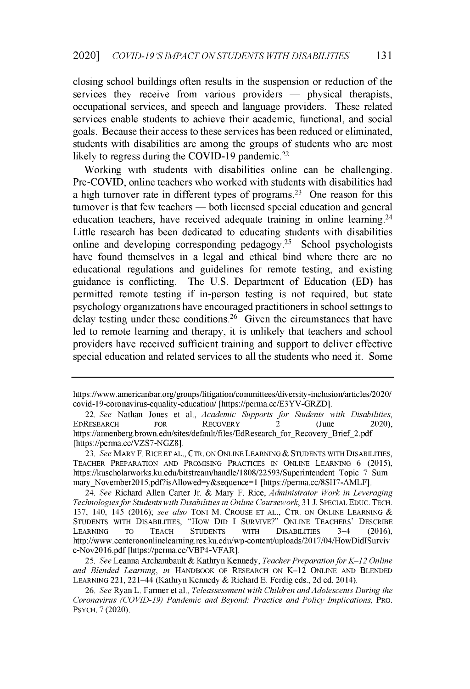**closing school buildings often results in the suspension or reduction of the** services they receive from various providers — physical therapists, **occupational services, and speech and language providers. These related services enable students to achieve their academic, functional, and social goals. Because their access to these services has been reduced or eliminated, students with disabilities are among the groups of students who are most likely to regress during the COVID-19 pandemic.<sup>22</sup>**

**Working with students with disabilities online can be challenging. Pre-COVID, online teachers who worked with students with disabilities had a high turnover rate in different types of programs.<sup>23</sup>One reason for this** turnover is that few teachers — both licensed special education and general **education teachers, have received adequate training in online learning. <sup>24</sup> Little research has been dedicated to educating students with disabilities online and developing corresponding** pedagogy. <sup>2</sup>5 **School psychologists have found themselves in a legal and ethical bind where there are no educational regulations and guidelines for remote testing, and existing guidance is conflicting. The U.S. Department of Education (ED) has permitted remote testing if in-person testing is not required, but state psychology organizations have encouraged practitioners in school settings to** delay testing under these conditions.<sup>26</sup> Given the circumstances that have **led to remote learning and therapy, it is unlikely that teachers and school providers have received sufficient training and support to deliver effective special education and related services to all the students who need it. Some**

*25. See* **Leanna Archambault** *&* **Kathryn Kennedy,** *Teacher Preparation for K-12 Online and Blended Learning, in* **HANDBOOK OF RESEARCH ON K-12 ONLINE AND BLENDED LEARNING 221, 221-44 (Kathryn Kennedy** *&* **Richard E. Ferdig eds., 2d ed. 2014).**

**https://www.americanbar.org/groups/litigation/committees/diversity-inclusion/articles/2020/ covid-19-coronavirus-equality-education/ [https://perma.cc/E3YV-GRZD].**

**<sup>22.</sup>** *See* **Nathan Jones et al.,** *Academic Supports for Students with Disabilities,* **EDRESEARCH FOR RECOVERY 2 (June 2020),** https://annenberg.brown.edu/sites/default/files/EdResearch for Recovery Brief 2.pdf **[https://perma.cc/VZS7-NGZ8].**

*<sup>23.</sup> See* **MARY F. RICE ET** AL., CTR. **ON ONINE LEARNING** & **STUDENTS WITH DISABILITIES, TEACHER PREPARATION AND PROMISING PRACTICES IN ONLINE LEARNING** *6* **(2015), https://kuscholarworks.ku.edu/bitstreanhandle/1808/22593/Superintendent Topic\_7\_Sum** mary\_November2015.pdf?isAllowed=y&sequence=1 [https://perma.cc/8SH7-AMLF].

*<sup>24.</sup> See* **Richard Allen Carter Jr. & Mary F. Rice,** *Administrator Work in Leveraging Technologies for Students with Disabilities in Online Coursework,* **31 J. SPECIAL EDUC. TECH. 137, 140, 145 (2016);** *see also* **TONI M. CROUSE ET** AL., CTR. **ON ONLINE LEARNING STUDENTS WITH DISABILITIES, "How DID I SURVIVE?" ONLINE TEACHERS' DESCRIBE LEARNING TO TEACH STUDENTS WITH DISABILITIES 3-4 (2016), http://www.centerononlinelearning.res.ku.edu/wp-content/uploads/2017/04/HowDidISurviv e-Nov2016.pdf [https://perma.cc/VBP4-VFAR].**

*<sup>26.</sup> See* **Ryan L. Farmer et al.,** *Teleassessment with Children and Adolescents During the Coronavirus (COVID-19) Pandemic and Beyond: Practice and Policy Implications,* **PRO. PSYCH. 7 (2020).**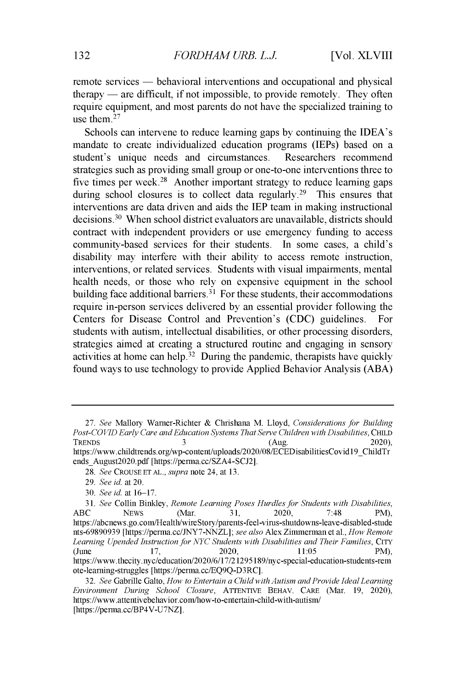remote services — behavioral interventions and occupational and physical  $\phi$  therapy — are difficult, if not impossible, to provide remotely. They often require equipment, and most parents do not have the specialized training to use them. <sup>27</sup>

Schools can intervene to reduce learning gaps by continuing the IDEA's mandate to create individualized education programs (IEPs) based on a student's unique needs and circumstances. Researchers recommend strategies such as providing small group or one-to-one interventions three to five times per week.<sup>28</sup> Another important strategy to reduce learning gaps during school closures is to collect data regularly.<sup>29</sup> This ensures that interventions are data driven and aids the IEP team in making instructional decisions.<sup>30</sup> When school district evaluators are unavailable, districts should contract with independent providers or use emergency funding to access community-based services for their students. In some cases, a child's disability may interfere with their ability to access remote instruction, interventions, or related services. Students with visual impairments, mental health needs, or those who rely on expensive equipment in the school building face additional barriers.<sup>31</sup> For these students, their accommodations require in-person services delivered by an essential provider following the Centers for Disease Control and Prevention's (CDC) guidelines. For students with autism, intellectual disabilities, or other processing disorders, strategies aimed at creating a structured routine and engaging in sensory activities at home can help.<sup>32</sup> During the pandemic, therapists have quickly found ways to use technology to provide Applied Behavior Analysis (ABA)

*<sup>27.</sup>* See Mallory Warner-Richter & Chrishana M. Lloyd, Considerations for Building Post-COVID Early Care and Education Systems That Serve Children with Disabilities, **CHILD TRENDS** 3 (Aug. 2020), https ://www.childtrends.org/wp-content/uploads/2020/08/ECEDisabilitiesCovid 19\_ChildTr ends\_August202O.pdf [https://perma.cc/SZA4-SCJ2].

*<sup>28.</sup>* See **CROUSE ET AL.,** supra note 24, at 13.

*<sup>29.</sup>* See id. at 20.

<sup>30.</sup> See id. at 16-17.

<sup>31.</sup> See Collin Binkley, Remote Learning Poses Hurdles for Students with Disabilities,<br>ABC NEWS (Mar. 31, 2020, 7:48 PM), ABC NEWS (Mar. 31, 2020, 7:48 PM), https://abcnews.go.com/Health/wireStory/parents-feel-virus-shutdowns-leave-disabled-stu nts-69890939 [https://perma.cc/JNY7-NNZL]; see also Alex Zimmerman et al., How Remote Learning Upended Instruction for NYC Students with Disabilities and Their Families, **CITY** (June 17, 2020, 11:05 PM), https://www.thecity.nyc/education/2020/6/17/2 **12951** 89/nyc-special-education-students-rem ote-learning-struggles [https://perma.cc/EQ9Q-D3RC].

*<sup>32.</sup>* See Gabrille Galto, How to Entertain a Child with Autism and Provide Ideal Learning Environment During School Closure, ATTENTIVE BEHAV. **CARE** (Mar. 19, 2020), https://www.attentivebehavior.com/how-to-entertain-child-with-autism/ [https://perma.cc/BP4V-U7NZ].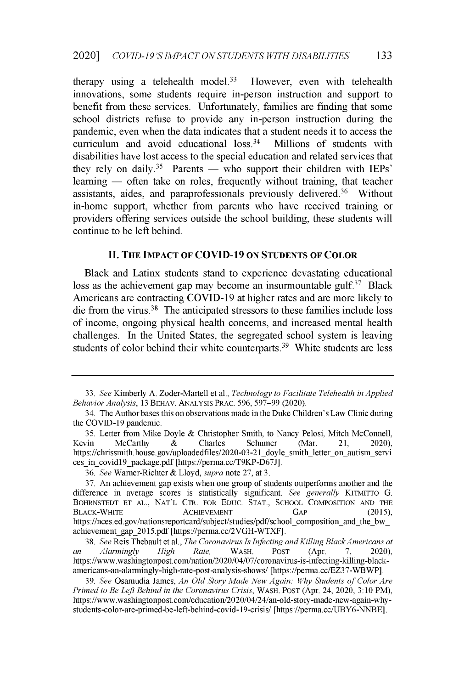therapy using a telehealth model.<sup>33</sup> However, even with telehealth innovations, some students require in-person instruction and support to benefit from these services. Unfortunately, families are finding that some school districts refuse to provide any in-person instruction during the pandemic, even when the data indicates that a student needs it to access the curriculum and avoid educational  $loss.<sup>34</sup>$  Millions of students with disabilities have lost access to the special education and related services that they rely on daily.<sup>35</sup> Parents — who support their children with IEPs' learning — often take on roles, frequently without training, that teacher assistants, aides, and paraprofessionals previously delivered. $36$  Without in-home support, whether from parents who have received training or providers offering services outside the school building, these students will continue to be left behind.

## **II. THE IMPACT OF COVID-19** ON **STUDENTS OF COLOR**

Black and Latinx students stand to experience devastating educational loss as the achievement gap may become an insurmountable **gulf.3<sup>7</sup>**Black Americans are contracting COVID-19 at higher rates and are more likely to die from the virus.<sup>38</sup> The anticipated stressors to these families include loss of income, ongoing physical health concerns, and increased mental health challenges. In the United States, the segregated school system is leaving students of color behind their white counterparts.<sup>39</sup> White students are less

<sup>33.</sup> *See* Kimberly A. Zoder-Martell et al., *Technology to Facilitate Telehealth in Applied Behavior Analysis,* 13 BEHAV. ANALYSIS PRAC. 596, 597-99 (2020).

<sup>34.</sup> The Author bases this on observations made in the Duke Children's Law Clinic during the COVID-19 pandemic.

<sup>35.</sup> Letter from Mike Doyle & Christopher Smith, to Nancy Pelosi, Mitch McConnell, Kevin McCarthy & Charles Schumer (Mar. 21, 2020), Kevin McCarthy & Charles Schumer (Mar. 21, 2020), https://chrissmith.house.gov/uploadedfiles/2020-03-21\_doyle\_smith\_letter\_on\_autism\_ser ces\_in\_covid19\_package.pdf [https://perma.cc/T9KP-D67J].

<sup>36.</sup> *See* Warner-Richter & Lloyd, *supra* note 27, at 3.

<sup>37.</sup> An achievement gap exists when one group of students outperforms another and the difference in average scores is statistically significant. *See generally* KITMITTO *G.* BOHRNSTEDT ET AL., NAT'L CTR. FOR EDUC. STAT., SCHOOL COMPOSITION AND THE **BLACK-WHITE ACHIEVEMENT GAP** (2015), https://nces.ed.gov/nationsreportcard/subject/studies/pdf/school\_composition\_and\_the\_bw\_ achievement\_gap\_2015.pdf [https://perma.cc/2VGH-WTXF].

<sup>38.</sup> *See* Reis Thebault et al., *The Coronavirus Is Infecting and Killing Black Americans at an Alarmingly High Rate,* WASH. POST (Apr. 7, 2020), https://www.washingtonpost.com/nation/2020/04/07/coronavirus-is-infecting-killing-blackamericans-an-alarmingly-high-rate-post-analysis-shows/ [https://perma.cc/EZ37-WBWP].

<sup>39.</sup> *See* Osamudia James, *An Old Story Made New Again: Why Students of Color Are Primed to Be Left Behind in the Coronavirus Crisis,* WASH. POST (Apr. 24, 2020, 3:10 PM), https://www.washingtonpost.com/education/2020/04/24/an-old-story-made-new-again-whystudents-color-are-primed-be-left-behind-covid-19-crisis/ [https://perma.cc/UBY6-NNBE].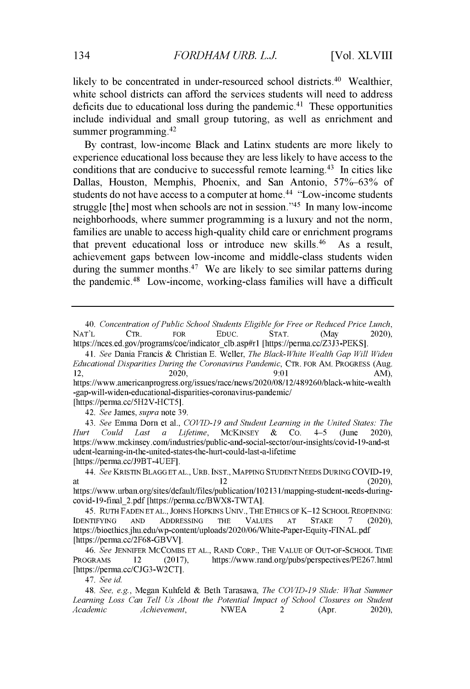likely to be concentrated in under-resourced school districts. $40$  Wealthier, white school districts can afford the services students will need to address deficits due to educational loss during the pandemic.<sup>41</sup> These opportunities include individual and small group tutoring, as well as enrichment and summer programming.<sup>42</sup>

By contrast, low-income Black and Latinx students are more likely to experience educational loss because they are less likely to have access to the conditions that are conducive to successful remote learning. <sup>4</sup>3 In cities like Dallas, Houston, Memphis, Phoenix, and San Antonio, 57%-63% of students do not have access to a computer at home.<sup>44</sup> "Low-income students" struggle [the] most when schools are not in session." $45$  In many low-income neighborhoods, where summer programming is a luxury and not the norm, families are unable to access high-quality child care or enrichment programs that prevent educational loss or introduce new skills.<sup>46</sup> As a result, achievement gaps between low-income and middle-class students widen during the summer months.<sup>47</sup> We are likely to see similar patterns during the pandemic.<sup>48</sup> Low-income, working-class families will have a difficult

*42. See* James, *supra* note 39.

*43. See* Emma Dorn et al., *COVID-19 and Student Learning in the United States: The Hurt Could Last a Lifetime,* MCKINSEY & CO. 4-5 (June 2020), https://www.mckinsey.com/industries/public-and-social-sector/our-insights/covid-19-and-st udent-learning-in-the-united-states-the-hurt-could-last-a-lifetime [https://perma.cc/J9BT-4UEF].

45. RUTH FADEN ET AL., JOHNS HOPKINS UNIV., THE ETHICS OF K-12 SCHOOL REOPENING: IDENTIFYING AND ADDRESSING THE VALUES AT STAKE 7 (2020), https://bioethics.jhu.edu/wp-content/uploads/2020/06/White-Paper-Equity-FINAL.pdf [https://perma.cc/2F68-GBVV].

*47. See id.*

*<sup>40.</sup> Concentration of Public School Students Eligible for Free or Reduced Price Lunch,* NAT'L CTR. FOR EDUC. STAT. (May 2020), https://nces.ed.gov/programs/coe/indicator\_clb.asp#rl [https://perma.cc/Z3J3-PEKS].

*<sup>41.</sup> See* Dania Francis & Christian E. Weller, *The Black-White Wealth Gap Will Widen Educational Disparities During the Coronavirus Pandemic, CTR. FOR AM. PROGRESS (Aug.* 2020, 2020). 12, 2020,  $2020$ ,  $9:01$  AM) https://www.americanprogress.org/issues/race/news/2020/08/12/489260/black-white-weal -gap-will-widen-educational-disparities-coronavirus-pandemic/ [https://perma.cc/5H2V-HCT5].

<sup>44.</sup> *See* KRISTIN BLAGG ET AL., URB. INST., MAPPING **STUDENT** NEEDS DURING COVID-19, at  $12$  (2020), https://www.urban.org/sites/default/files/publication/102131/mapping-student-needs-duringcovid-19-final 2.pdf [https://perma.cc/BWX8-TWTA].

*<sup>46.</sup> See* JENNIFER MCCOMBS ET AL., RAND CORP., THE VALUE OF OUT-OF-SCHOOL TIME PROGRAMS 12 (2017), https://www.rand.org/pubs/perspectives/PE267.html [https://perma.cc/CJG3-W2CT].

*<sup>48.</sup> See, e.g.,* Megan Kuhfeld & Beth Tarasawa, *The COVID-19 Slide: What Summer Learning Loss Can Tell Us About the Potential Impact of School Closures on Student Achievement*, **NWEA** 2 (Apr. 2020),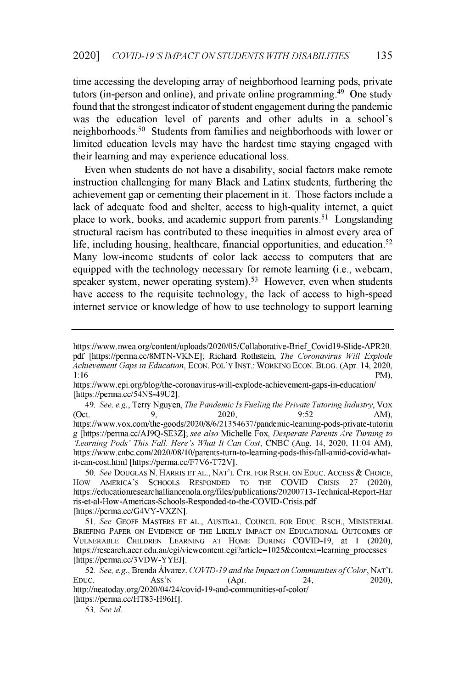time accessing the developing array of neighborhood learning pods, private tutors (in-person and online), and private online programming. <sup>4</sup>9 One study found that the strongest indicator of student engagement during the pandemic was the education level of parents and other adults in a school's neighborhoods.<sup>50</sup> Students from families and neighborhoods with lower or limited education levels may have the hardest time staying engaged with their learning and may experience educational loss.

Even when students do not have a disability, social factors make remote instruction challenging for many Black and Latinx students, furthering the achievement gap or cementing their placement in it. Those factors include a lack of adequate food and shelter, access to high-quality internet, a quiet place to work, books, and academic support from parents.51 Longstanding structural racism has contributed to these inequities in almost every area of life, including housing, healthcare, financial opportunities, and education.<sup>52</sup> Many low-income students of color lack access to computers that are equipped with the technology necessary for remote learning (i.e., webcam, speaker system, newer operating system).<sup>53</sup> However, even when students have access to the requisite technology, the lack of access to high-speed internet service or knowledge of how to use technology to support learning

*49. See, e.g.,* Terry Nguyen, *The Pandemic Is Fueling the Private Tutoring Industry, Vox* (Oct. 9, 2020, 9:52 AM) https://www.vox.com/the-goods/2020/8/6/21354637/pandemic-learning-pods-private-tutorin g [https://perma.cc/AJ9Q-SE3Z]; *see also* Michelle Fox, *Desperate Parents Are Turning to 'Learning Pods' This Fall. Here's What It Can Cost,* CNBC (Aug. 14, 2020, 11:04 AM), https ://www.cnbc.com/2020/08/10/parents-turn-to-learning-pods-this-fall-amid-covid-whatit-can-cost.html [https://perma.cc/F7V6-T72V].

50. *See* DOUGLAS N. HARRIS **ET AL., NAT'L** CTR. FOR RSCH. ON EDUC. ACCESS *&* CHOICE, SCHOOLS RESPONDED TO THE COVID CRISIS 27 (2020), https://educationresearchalliancenola.org/files/publications/20200713 -Technical-Report-Har ris-et-al-How-Americas-Schools-Responded-to-the-COVID-Crisis.pdf [https://perma.cc/G4VY-VXZN].

51. *See* GEOFF MASTERS ET AL., AUSTRAL. COUNCIL FOR EDUC. RSCH., MINISTERIAL BRIEFING PAPER ON EVIDENCE OF THE LIKELY IMPACT ON EDUCATIONAL OUTCOMES OF VULNERABLE CHILDREN LEARNING AT HOME DURING COVID-19, at 1 (2020), https://research.acer.edu.au/cgi/viewcontent.cgi?article=1025&context=learning processes [https://perma.cc/3VDW-YYEJ].

*52. See, e.g.,* Brenda Alvarez, *COVID-19 and the Impact on Communities of Color,* NAT'L EDUC. ASS'N  $(Apr. 2020)$ http://neatoday.org/2020/04/24/covid-19-and-communities-of-color/ [https://perma.cc/HT83-H96H].

53. *See id.*

https://www.nwea.org/content/uploads/2020/05/Collaborative-Brief\_Covid19-Slide-APR20. pdf [https://perma.cc/8MTN-VKNE]; Richard Rothstein, *The Coronavirus Will Explode Achievement Gaps in Education*, ECON. POL'Y INST.: WORKING ECON. BLOG. (Apr. 14, 2020, 1:16  $1:16$  PM),

https ://www.epi.org/blog/the-coronavirus-will-explode-achievement-gaps-in-education/ [https://perma.cc/54NS-49U2].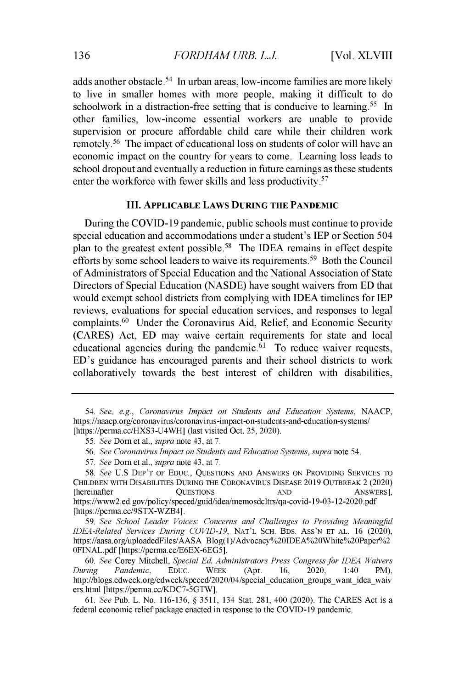adds another obstacle.<sup>54</sup> In urban areas, low-income families are more likely to live in smaller homes with more people, making it difficult to do schoolwork in a distraction-free setting that is conducive to learning.<sup>55</sup> In other families, low-income essential workers are unable to provide supervision or procure affordable child care while their children work remotely.<sup>56</sup> The impact of educational loss on students of color will have an economic impact on the country for years to come. Learning loss leads to school dropout and eventually a reduction in future earnings as these students enter the workforce with fewer skills and less productivity.<sup>57</sup>

#### **III. APPLICABLE LAWS DURING THE PANDEMIC**

During the COVID-19 pandemic, public schools must continue to provide special education and accommodations under a student's IEP or Section *504* plan to the greatest extent possible.<sup>58</sup> The IDEA remains in effect despite efforts by some school leaders to waive its requirements.<sup>59</sup> Both the Council of Administrators of Special Education and the National Association of State Directors of Special Education (NASDE) have sought waivers from ED that would exempt school districts from complying with IDEA timelines for IEP reviews, evaluations for special education services, and responses to legal complaints.<sup>60</sup> Under the Coronavirus Aid, Relief, and Economic Security (CARES) Act, ED may waive certain requirements for state and local educational agencies during the pandemic. $61$  To reduce waiver requests, ED's guidance has encouraged parents and their school districts to work collaboratively towards the best interest of children with disabilities,

59. *See School Leader Voices: Concerns and Challenges to Providing Meaningful IDEA-Related Services During COVID-19,* NAT'L SCH. BDS. ASS'N ET AL. 16 (2020), https://aasa.org/uploadedFiles/AASABlog(1)/Advocacy%20IDEA%20White%20Paper%2 OFINAL.pdf [https://perma.cc/E6EX-6EG5].

60. *See* Corey Mitchell, *Special Ed. Administrators Press Congress for IDEA Waivers During Pandemic,* EDUC. WEEK (Apr. 16, 2020, 1:40 PM), http://blogs.edweek.org/edweek/speced/2020/04/special\_education\_groups\_want\_idea\_waiv ers.html [https://perma.cc/KDC7-5GTW].

61. *See* Pub. L. No. 116-136, § 3511, 134 Stat. 281, 400 (2020). The CARES Act is a federal economic relief package enacted in response to the COVID-19 pandemic.

*<sup>54.</sup> See, e.g., Coronavirus Impact on Students and Education Systems,* NAACP, https ://naacp. org/coronavirus/coronavirus-impact-on-students-and-education-systems/ [https://perma.cc/HXS3-U4WH] (last visited Oct. 25, 2020).

<sup>55.</sup> *See* Dorn et al., *supra* note 43, at 7.

<sup>56.</sup> *See Coronavirus Impact on Students and Education Systems, supra* note 54.

<sup>57.</sup> *See Dorn et al., supra note 43, at 7.*

<sup>58.</sup> *See* U.S DEP'T OF EDUC., QUESTIONS AND ANSWERS ON PROVIDING SERVICES TO CHILDREN WITH DISABILITIES DURING THE CORONAVIRUS DISEASE 2019 OUTBREAK 2 (2020) [hereinafter **QUESTIONS** AND ANSWERS] https://www2.ed.gov/policy/speced/guid/idea/memosdcltrs/qa-covid-19-03-12-2020.p [https://perma.cc/9STX-WZB4].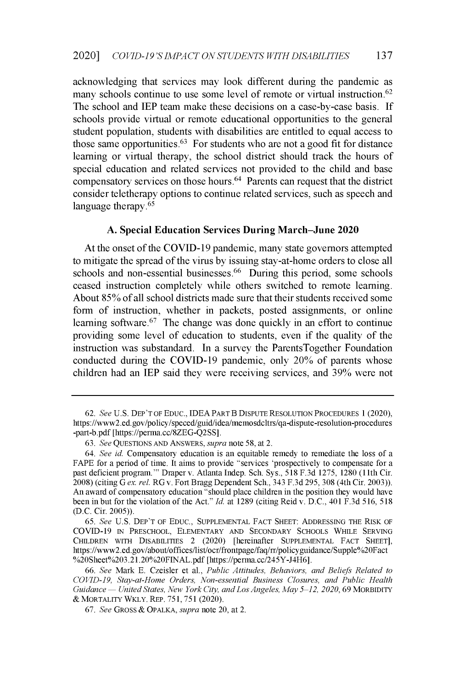acknowledging that services may look different during the pandemic as many schools continue to use some level of remote or virtual instruction.<sup>62</sup> The school and IEP team make these decisions on a case-by-case basis. If schools provide virtual or remote educational opportunities to the general student population, students with disabilities are entitled to equal access to those same opportunities.<sup>63</sup> For students who are not a good fit for distance learning or virtual therapy, the school district should track the hours of special education and related services not provided to the child and base compensatory services on those hours.<sup>64</sup> Parents can request that the district consider teletherapy options to continue related services, such as speech and language therapy.<sup>65</sup>

#### A. Special **Education Services During March-June 2020**

At the onset of the COVID-19 pandemic, many state governors attempted to mitigate the spread of the virus by issuing stay-at-home orders to close all schools and non-essential businesses.<sup>66</sup> During this period, some schools ceased instruction completely while others switched to remote learning. About 85% of all school districts made sure that their students received some form of instruction, whether in packets, posted assignments, or online learning software.  $67$  The change was done quickly in an effort to continue providing some level of education to students, even if the quality of the instruction was substandard. In a survey the ParentsTogether Foundation conducted during the COVID-19 pandemic, only 20% of parents whose children had an IEP said they were receiving services, and 39% were not

*<sup>62.</sup> See* U.S. DEP'T OF EDUC., IDEA PART B DISPUTE RESOLUTION PROCEDURES 1 (2020), https://www2.ed.gov/policy/speced/guid/idea/memosdcltrs/qa-dispute-resolution-procedures -part-b.pdf [https://perma.cc/8ZEG-Q2SS].

<sup>63.</sup> *See* QUESTIONS AND ANSWERS, *supra* note 58, at 2.

*<sup>64.</sup> See id.* Compensatory education is an equitable remedy to remediate the loss of a FAPE for a period of time. It aims to provide "services 'prospectively to compensate for a past deficient program. "' Draper v. Atlanta Indep. Sch. Sys., 518 F.3d 1275, 1280 (11th Cir. 2008) (citing G *ex. rel.* RG v. Fort Bragg Dependent Sch., 343 F.3d 295, 308 (4th Cir. 2003)). An award of compensatory education "should place children in the position they would have been in but for the violation of the Act." *Id.* at 1289 (citing Reid v. D.C., 401 F.3d 516, 518 (D.C. Cir. 2005)).

<sup>65.</sup> *See* U.S. DEP'T OF EDUC., SUPPLEMENTAL FACT SHEET: ADDRESSING THE RISK OF COVID-19 IN PRESCHOOL, ELEMENTARY AND SECONDARY SCHOOLS WHILE SERVING CHILDREN WITH DISABILITIES 2 (2020) [hereinafter SUPPLEMENTAL FACT SHEET], https ://www2.ed.gov/about/offices/list/ocr/frontpage/faq/rr/policyguidance/Supple%2OFact %20Sheet%203.21.20%20FINAL.pdf [https://perma.cc/245Y-J4H6].

<sup>66.</sup> *See* Mark E. Czeisler et al., *Public Attitudes, Behaviors, and Beliefs Related to COVID-19, Stay-at-Home Orders, Non-essential Business Closures, and Public Health Guidance United States, New York City, and Los Angeles, May 5-12, 2020,* 69 MORBIDITY & MORTALITY WKLY. REP. 751, 751 (2020).

*<sup>67.</sup> See* GROSS *&* OPALKA, *supra* note 20, at 2.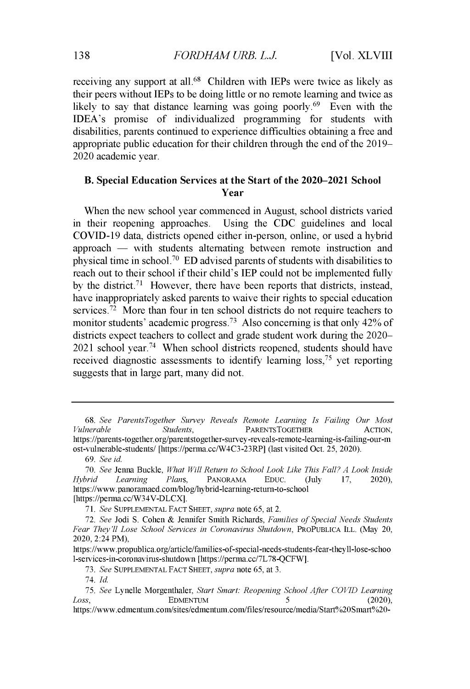receiving any support at all.<sup>68</sup> Children with IEPs were twice as likely as their peers without IEPs to be doing little or no remote learning and twice as likely to say that distance learning was going poorly.<sup> $69$ </sup> Even with the IDEA's promise of individualized programming for students with disabilities, parents continued to experience difficulties obtaining a free and appropriate public education for their children through the end of the 2019- 2020 academic year.

# **B. Special Education Services at the Start of the 2020-2021 School Year**

When the new school year commenced in August, school districts varied in their reopening approaches. Using the CDC guidelines and local COVID-19 data, districts opened either in-person, online, or used a hybrid  $approach$   $-$  with students alternating between remote instruction and physical time in school.<sup>70</sup> ED advised parents of students with disabilities to reach out to their school if their child's IEP could not be implemented fully by the district.<sup>71</sup> However, there have been reports that districts, instead, have inappropriately asked parents to waive their rights to special education services.<sup>72</sup> More than four in ten school districts do not require teachers to monitor students' academic progress.<sup>73</sup> Also concerning is that only  $42\%$  of districts expect teachers to collect and grade student work during the 2020-  $2021$  school year.<sup>74</sup> When school districts reopened, students should have received diagnostic assessments to identify learning loss,<sup>75</sup> vet reporting suggests that in large part, many did not.

69. *See id.*

[https://perma.cc/W34V-DLCX].

74. *Id.*

https://www.edmentum.com/sites/edmentum.com/files/resource/media/Start%20Smart%20-

<sup>68.</sup> *See ParentsTogether Survey Reveals Remote Learning Is Failing Our Most Vulnerable Students,* PARENTSTOGETHER ACTION, https ://parents-together. org/parentstogether-survey-reveals-remote-learning-is-failing-our-m ost-vulnerable-students/ [https://perma.cc/W4C3-23RP] (last visited Oct. 25, 2020).

*<sup>70.</sup> See* Jenna Buckle, *What Will Return to School Look Like This Fall? A Look Inside Hybrid Learning Plans,* PANORAMA EDUC. (July 17, 2020), https ://www.panoramaed.com/blog/hybrid-learning-return-to-school

*<sup>71.</sup> See* SUPPLEMENTAL FACT SHEET, *supra* note 65, at 2.

*<sup>72.</sup> See* Jodi S. Cohen & Jennifer Smith Richards, *Families of Special Needs Students Fear They'll Lose School Services in Coronavirus Shutdown,* PROPUBLICA IlL. (May 20, 2020, 2:24 PM),

https://www.propublica.org/article/families-of-special-needs-students-fear-theyll-lose-schoo 1-services-in-coronavirus-shutdown [https://perma.cc/7L78-QCFW].

*<sup>73.</sup> See* SUPPLEMENTAL FACT SHEET, *supra* note 65, at 3.

*<sup>75.</sup> See* Lynelle Morgenthaler, *Start Smart: Reopening School After COVID Learning Loss*, **EDMENTUM** 5 (2020),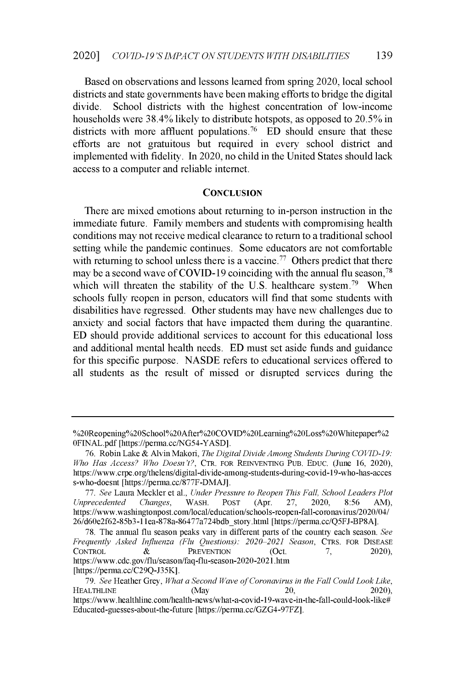**Based on observations and lessons learned from spring** 2020, **local school districts and state governments** have **been making** efforts to **bridge the digital divide. School districts with the highest concentration** of **low-income households were 38.4%** likely to **distribute hotspots, as opposed** to 20.5% in districts with more affluent populations.<sup>76</sup> ED should ensure that these **efforts are not gratuitous but required in every school district and implemented** with fidelity. In 2020, **no child in the United States should lack access to a computer and reliable internet.**

#### **CONCLUSION**

There are **mixed emotions about returning to in-person instruction in the immediate future. Family members and students with compromising health conditions may not receive medical clearance to return to a traditional school setting while the pandemic continues. Some educators are not comfortable** with returning to school unless there is a vaccine.<sup>77</sup> Others predict that there may be a second wave of COVID-19 coinciding with the annual flu season,<sup>78</sup> which will threaten the stability of the U.S. healthcare system.<sup>79</sup> When schools fully **reopen in person, educators** will find **that some students with disabilities have regressed. Other students** may have new **challenges due to** anxiety and **social factors that have impacted them during the quarantine. ED should provide additional services to account for this educational loss and additional mental health needs. ED must set aside funds and guidance for this specific purpose.** NASDE refers **to educational services** offered to **all students as the result of missed or disrupted services during the**

**<sup>%20</sup>Reopening%20School%20After%20COVD%20OLearning%20Loss%2OWhitepaper%2** 0FINAL.pdf [https://perma.cc/NG54-YASD].

<sup>76.</sup> Robin Lake & Alvin Makori, *The Digital Divide Among Students During COVID-19: Who Has Access? Who Doesn't?,* CTR. **FOR REINVENTING PUB. EDUC. (June 16,** 2020), **https://www.crpe.org/thelens/digital-divide-among-students-during-covid-1 9-who-has-acces s-who-doesnt** [https://perma.cc/877F-DMAJ].

<sup>77.</sup> *See* **Laura Meckler** et al., *Under Pressure to Reopen This Fall, School Leaders Plot Unprecedented Changes,* **WASH. POST** (Apr. 27, 2020, 8:56 AM), **https://www.washingtonpost.com/local/education/schools-reopen-fall-coronavirus/2020/04/** 26/d60e2f62-85b3-1 **lea-878a-86477a724bdbstory.html** [https://perma.cc/Q5FJ-BP8A].

**<sup>78.</sup> The annual flu season peaks** vary **in different parts of the country each season.** *See Frequently Asked Influenza (Flu Questions): 2020-2021 Season,* **CTRS. FOR DISEASE CONTROL** *&* **PREVENTION** (Oct. 7, 2020), https://www.cdc.gov/flu/season/faq-flu-season-2020-2021.htm [https://perma.cc/C29Q-J35K].

*<sup>79.</sup> See* Heather Grey, *What a Second Wave of Coronavirus in the Fall Could Look Like,* **HEALTHLINE (May** 20, 2020), **https ://www.healthline.com/health-news/what-a-covid-1 9-wave-in-the-fall-could-look-like# Educated-guesses-about-the-future** [https://perma.cc/GZG4-97FZ].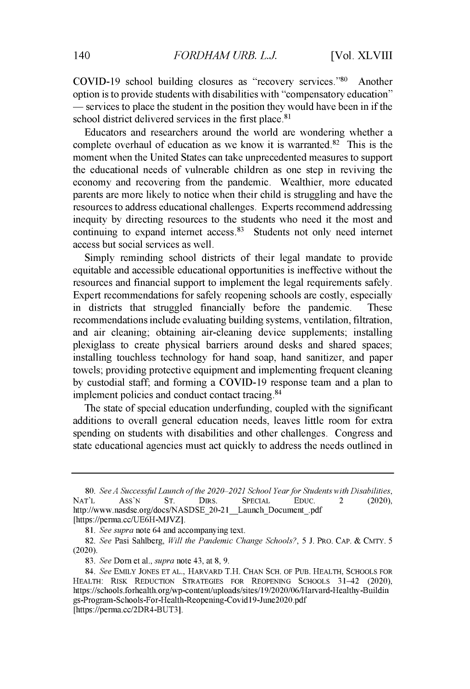COVID-19 school building closures as "recovery services." $80$  Another option is to provide students with disabilities with "compensatory education"  $-$  services to place the student in the position they would have been in if the school district delivered services in the first place.<sup>81</sup>

Educators and researchers around the world are wondering whether a complete overhaul of education as we know it is warranted. $82$  This is the moment when the United States can take unprecedented measures to support the educational needs of vulnerable children as one step in reviving the economy and recovering from the pandemic. Wealthier, more educated parents are more likely to notice when their child is struggling and have the resources to address educational challenges. Experts recommend addressing inequity by directing resources to the students who need it the most and continuing to expand internet  $access.^{83}$  Students not only need internet access but social services as well.

Simply reminding school districts of their legal mandate to provide equitable and accessible educational opportunities is ineffective without the resources and financial support to implement the legal requirements safely. Expert recommendations for safely reopening schools are costly, especially in districts that struggled financially before the pandemic. These recommendations include evaluating building systems, ventilation, filtration, and air cleaning; obtaining air-cleaning device supplements; installing plexiglass to create physical barriers around desks and shared spaces; installing touchless technology for hand soap, hand sanitizer, and paper towels; providing protective equipment and implementing frequent cleaning by custodial staff, and forming a COVID-19 response team and a plan to implement policies and conduct contact tracing. <sup>8</sup><sup>4</sup>

The state of special education underfunding, coupled with the significant additions to overall general education needs, leaves little room for extra spending on students with disabilities and other challenges. Congress and state educational agencies must act quickly to address the needs outlined in

<sup>80.</sup> *See A Successful Launch of the 2020-2021 School Year for Students with Disabilities,* NAT'L ASS'N ST. DIRS. SPECIAL EDUC. 2 (2020), http://www.nasdse.org/docs/NASDSE\_20-21\_\_Launch\_Document\_.pdf [https://perma.cc/UE6H-MJVZ].

<sup>81.</sup> *See supra* note 64 and accompanying text.

*<sup>82.</sup> See* Pasi Sahlberg, *Will the Pandemic Change Schools?,* 5 J. PRO. CAP. & CMTY. 5 (2020).

<sup>83.</sup> *See* Dorn et al., *supra* note 43, at 8, 9.

*<sup>84.</sup> See* **EMILY** JONES **ET AL.,** HARVARD T.H. CHAN SCH. OF PUB. **HEALTH, SCHOOLS FOR HEALTH: RISK REDUCTION STRATEGIES FOR REOPENING SCHOOLS** 31-42 (2020), https://schools.forhealth.org/wp-content/uploads/sites/19/2020/06/Harvard-Healthy-Buildin gs-Program-Schools-For-Health-Reopening-Covid 19-June2020.pdf [https://perma.cc/2DR4-BUT3].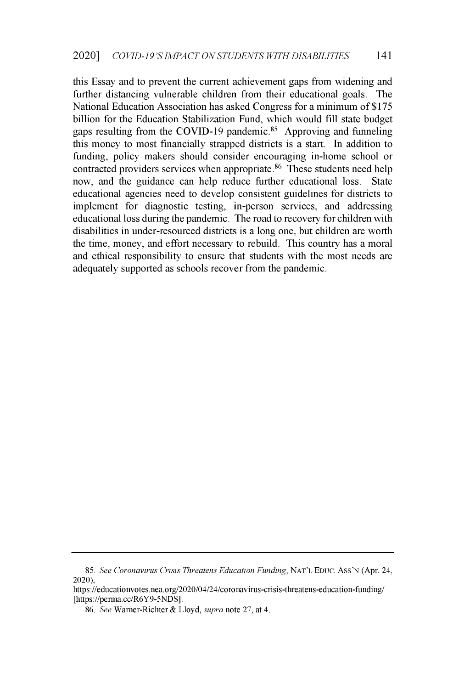this Essay and to prevent the current achievement gaps from widening and further distancing vulnerable children from their educational goals. The National Education Association has asked Congress for a minimum of \$175 billion for the Education Stabilization Fund, which would fill state budget gaps resulting from the COVID-19 pandemic.<sup>85</sup> Approving and funneling this money to most financially strapped districts is a start. In addition to funding, policy makers should consider encouraging in-home school or contracted providers services when appropriate. $86$  These students need help now, and the guidance can help reduce further educational loss. State educational agencies need to develop consistent guidelines for districts to implement for diagnostic testing, in-person services, and addressing educational loss during the pandemic. The road to recovery for children with disabilities in under-resourced districts is a long one, but children are worth the time, money, and effort necessary to rebuild. This country has a moral and ethical responsibility to ensure that students with the most needs are adequately supported as schools recover from the pandemic.

<sup>85.</sup> *See Coronavirus Crisis Threatens Education Funding,* NAT'L EDUC. Ass'N (Apr. 24, 2020),

**https://educationvotes.nea.org/2020/04/24/coronavirus-crisis-threatens-education-funding/** [https://perma.cc/R6Y9-5NDS].

<sup>86.</sup> *See* Warner-Richter & Lloyd, *supra* note 27, at 4.